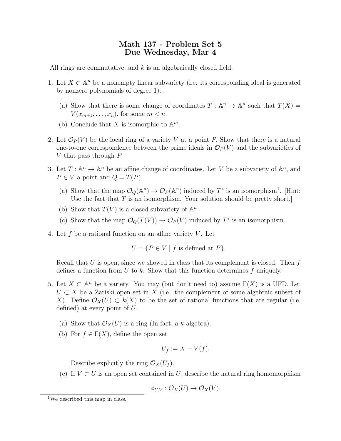## Math 137 - Problem Set 5 Due Wednesday, Mar 4

All rings are commutative, and k is an algebraically closed field.

- 1. Let  $X \subset \mathbb{A}^n$  be a nonempty linear subvariety (i.e. its corresponding ideal is generated by nonzero polynomials of degree 1).
	- (a) Show that there is some change of coordinates  $T : \mathbb{A}^n \to \mathbb{A}^n$  such that  $T(X) =$  $V(x_{m+1},\ldots,x_n)$ , for some  $m < n$ .
	- (b) Conclude that X is isomorphic to  $\mathbb{A}^m$ .
- 2. Let  $\mathcal{O}_P(V)$  be the local ring of a variety V at a point P. Show that there is a natural one-to-one correspondence between the prime ideals in  $\mathcal{O}_P(V)$  and the subvarieties of V that pass through P.
- 3. Let  $T: \mathbb{A}^n \to \mathbb{A}^n$  be an affine change of coordinates. Let V be a subvariety of  $\mathbb{A}^n$ , and  $P \in V$  a point and  $Q = T(P)$ .
	- (a) Show that the map  $\mathcal{O}_Q(\mathbb{A}^n) \to \mathcal{O}_P(\mathbb{A}^n)$  induced by  $T^*$  is an isomorphism<sup>1</sup>. [Hint: Use the fact that  $T$  is an isomorphism. Your solution should be pretty short.
	- (b) Show that  $T(V)$  is a closed subvariety of  $\mathbb{A}^n$ .
	- (c) Show that the map  $\mathcal{O}_Q(T(V)) \to \mathcal{O}_P(V)$  induced by  $T^*$  is an isomorphism.
- 4. Let  $f$  be a rational function on an affine variety  $V$ . Let

 $U = \{P \in V \mid f \text{ is defined at } P\}.$ 

Recall that  $U$  is open, since we showed in class that its complement is closed. Then  $f$ defines a function from U to k. Show that this function determines f uniquely.

- 5. Let  $X \subset \mathbb{A}^n$  be a variety. You may (but don't need to) assume  $\Gamma(X)$  is a UFD. Let  $U \subset X$  be a Zariski open set in X (i.e. the complement of some algebraic subset of X). Define  $\mathcal{O}_X(U) \subset k(X)$  to be the set of rational functions that are regular (i.e. defined) at every point of  $U$ .
	- (a) Show that  $\mathcal{O}_X(U)$  is a ring (In fact, a k-algebra).
	- (b) For  $f \in \Gamma(X)$ , define the open set

$$
U_f := X - V(f).
$$

Describe explicitly the ring  $\mathcal{O}_X(U_f)$ .

(c) If  $V \subset U$  is an open set contained in U, describe the natural ring homomorphism

$$
\phi_{U,V}: \mathcal{O}_X(U) \to \mathcal{O}_X(V).
$$

<sup>&</sup>lt;sup>1</sup>We described this map in class.